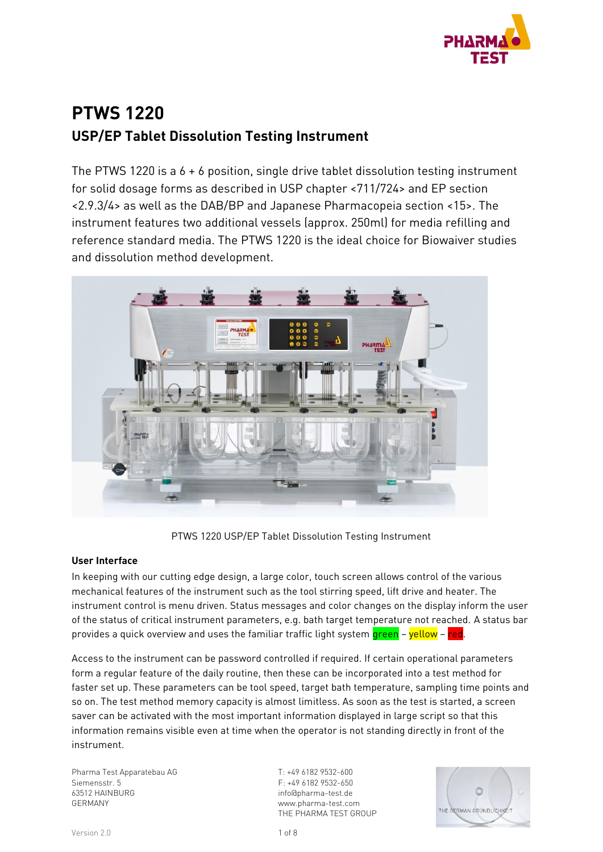

# **PTWS 1220 USP/EP Tablet Dissolution Testing Instrument**

The PTWS 1220 is a 6 + 6 position, single drive tablet dissolution testing instrument for solid dosage forms as described in USP chapter <711/724> and EP section <2.9.3/4> as well as the DAB/BP and Japanese Pharmacopeia section <15>. The instrument features two additional vessels (approx. 250ml) for media refilling and reference standard media. The PTWS 1220 is the ideal choice for Biowaiver studies and dissolution method development.



PTWS 1220 USP/EP Tablet Dissolution Testing Instrument

#### **User Interface**

In keeping with our cutting edge design, a large color, touch screen allows control of the various mechanical features of the instrument such as the tool stirring speed, lift drive and heater. The instrument control is menu driven. Status messages and color changes on the display inform the user of the status of critical instrument parameters, e.g. bath target temperature not reached. A status bar provides a quick overview and uses the familiar traffic light system green – yellow – red.

Access to the instrument can be password controlled if required. If certain operational parameters form a regular feature of the daily routine, then these can be incorporated into a test method for faster set up. These parameters can be tool speed, target bath temperature, sampling time points and so on. The test method memory capacity is almost limitless. As soon as the test is started, a screen saver can be activated with the most important information displayed in large script so that this information remains visible even at time when the operator is not standing directly in front of the instrument.

Pharma Test Apparatebau AG Siemensstr. 5 63512 HAINBURG GERMANY

T: +49 6182 9532-600 F: +49 6182 9532-650 info@pharma-test.de www.pharma-test.com THE PHARMA TEST GROUP

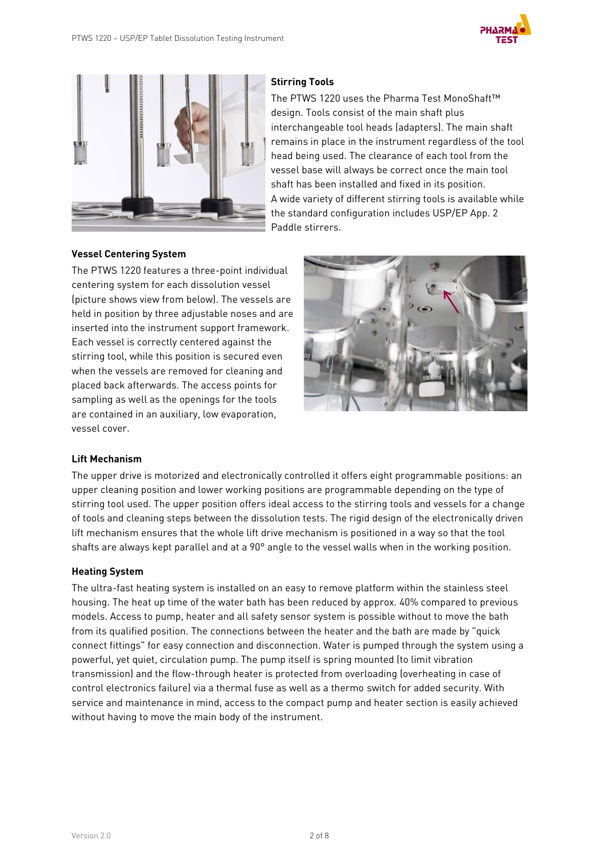



## **Stirring Tools**

The PTWS 1220 uses the Pharma Test MonoShaft™ design. Tools consist of the main shaft plus interchangeable tool heads (adapters). The main shaft remains in place in the instrument regardless of the tool head being used. The clearance of each tool from the vessel base will always be correct once the main tool shaft has been installed and fixed in its position. A wide variety of different stirring tools is available while the standard configuration includes USP/EP App. 2 Paddle stirrers.

#### **Vessel Centering System**

The PTWS 1220 features a three-point individual centering system for each dissolution vessel (picture shows view from below). The vessels are held in position by three adjustable noses and are inserted into the instrument support framework. Each vessel is correctly centered against the stirring tool, while this position is secured even when the vessels are removed for cleaning and placed back afterwards. The access points for sampling as well as the openings for the tools are contained in an auxiliary, low evaporation, vessel cover.



#### **Lift Mechanism**

The upper drive is motorized and electronically controlled it offers eight programmable positions: an upper cleaning position and lower working positions are programmable depending on the type of stirring tool used. The upper position offers ideal access to the stirring tools and vessels for a change of tools and cleaning steps between the dissolution tests. The rigid design of the electronically driven lift mechanism ensures that the whole lift drive mechanism is positioned in a way so that the tool shafts are always kept parallel and at a 90° angle to the vessel walls when in the working position.

#### **Heating System**

The ultra-fast heating system is installed on an easy to remove platform within the stainless steel housing. The heat up time of the water bath has been reduced by approx. 40% compared to previous models. Access to pump, heater and all safety sensor system is possible without to move the bath from its qualified position. The connections between the heater and the bath are made by "quick connect fittings" for easy connection and disconnection. Water is pumped through the system using a powerful, yet quiet, circulation pump. The pump itself is spring mounted (to limit vibration transmission) and the flow-through heater is protected from overloading (overheating in case of control electronics failure) via a thermal fuse as well as a thermo switch for added security. With service and maintenance in mind, access to the compact pump and heater section is easily achieved without having to move the main body of the instrument.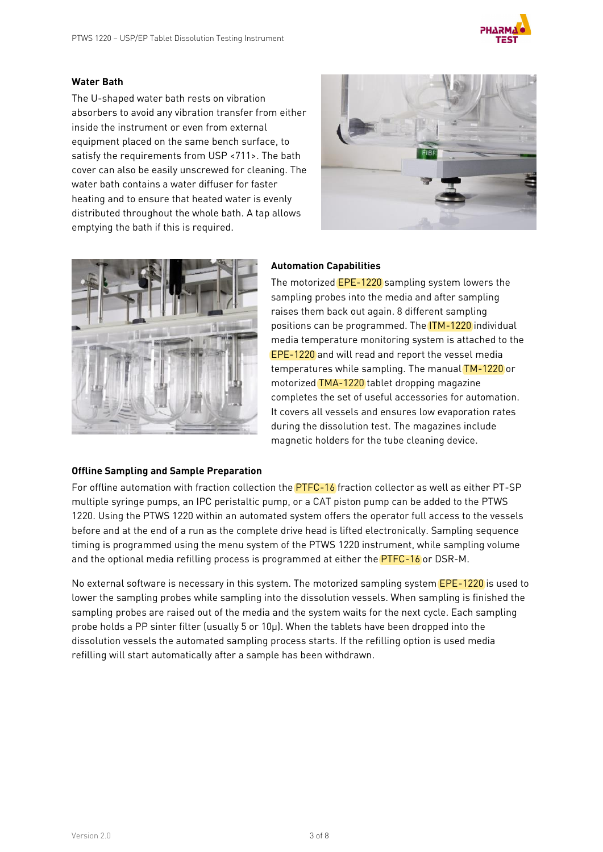

### **Water Bath**

The U-shaped water bath rests on vibration absorbers to avoid any vibration transfer from either inside the instrument or even from external equipment placed on the same bench surface, to satisfy the requirements from USP <711>. The bath cover can also be easily unscrewed for cleaning. The water bath contains a water diffuser for faster heating and to ensure that heated water is evenly distributed throughout the whole bath. A tap allows emptying the bath if this is required.





#### **Offline Sampling and Sample Preparation**

#### **Automation Capabilities**

The motorized EPE-1220 sampling system lowers the sampling probes into the media and after sampling raises them back out again. 8 different sampling positions can be programmed. The ITM-1220 individual media temperature monitoring system is attached to the EPE-1220 and will read and report the vessel media temperatures while sampling. The manual TM-1220 or motorized TMA-1220 tablet dropping magazine completes the set of useful accessories for automation. It covers all vessels and ensures low evaporation rates during the dissolution test. The magazines include magnetic holders for the tube cleaning device.

For offline automation with fraction collection the **PTFC-16** fraction collector as well as either PT-SP multiple syringe pumps, an IPC peristaltic pump, or a CAT piston pump can be added to the PTWS 1220. Using the PTWS 1220 within an automated system offers the operator full access to the vessels before and at the end of a run as the complete drive head is lifted electronically. Sampling sequence timing is programmed using the menu system of the PTWS 1220 instrument, while sampling volume and the optional media refilling process is programmed at either the **PTFC-16** or DSR-M.

No external software is necessary in this system. The motorized sampling system **EPE-1220** is used to lower the sampling probes while sampling into the dissolution vessels. When sampling is finished the sampling probes are raised out of the media and the system waits for the next cycle. Each sampling probe holds a PP sinter filter (usually 5 or 10µ). When the tablets have been dropped into the dissolution vessels the automated sampling process starts. If the refilling option is used media refilling will start automatically after a sample has been withdrawn.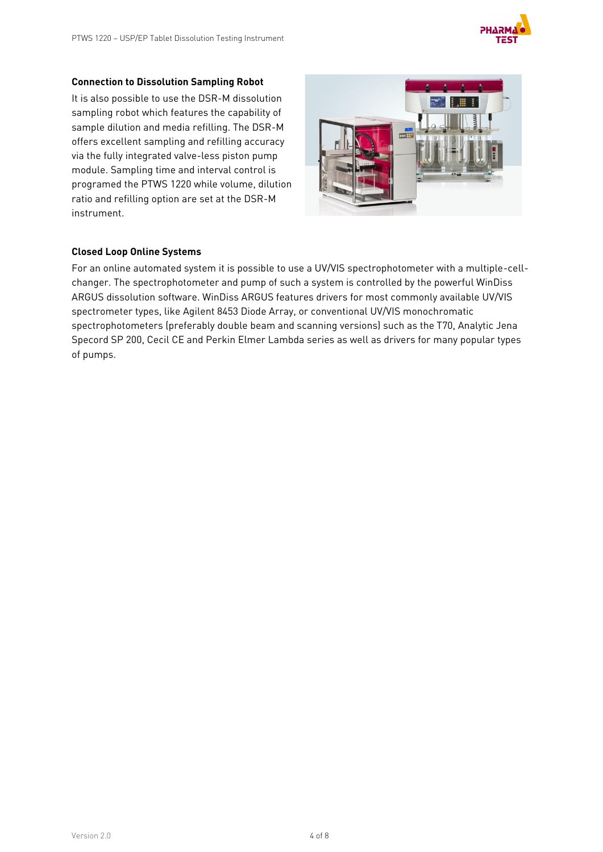

#### **Connection to Dissolution Sampling Robot**

It is also possible to use the DSR-M dissolution sampling robot which features the capability of sample dilution and media refilling. The DSR-M offers excellent sampling and refilling accuracy via the fully integrated valve-less piston pump module. Sampling time and interval control is programed the PTWS 1220 while volume, dilution ratio and refilling option are set at the DSR-M instrument.



## **Closed Loop Online Systems**

For an online automated system it is possible to use a UV/VIS spectrophotometer with a multiple-cellchanger. The spectrophotometer and pump of such a system is controlled by the powerful WinDiss ARGUS dissolution software. WinDiss ARGUS features drivers for most commonly available UV/VIS spectrometer types, like Agilent 8453 Diode Array, or conventional UV/VIS monochromatic spectrophotometers (preferably double beam and scanning versions) such as the T70, Analytic Jena Specord SP 200, Cecil CE and Perkin Elmer Lambda series as well as drivers for many popular types of pumps.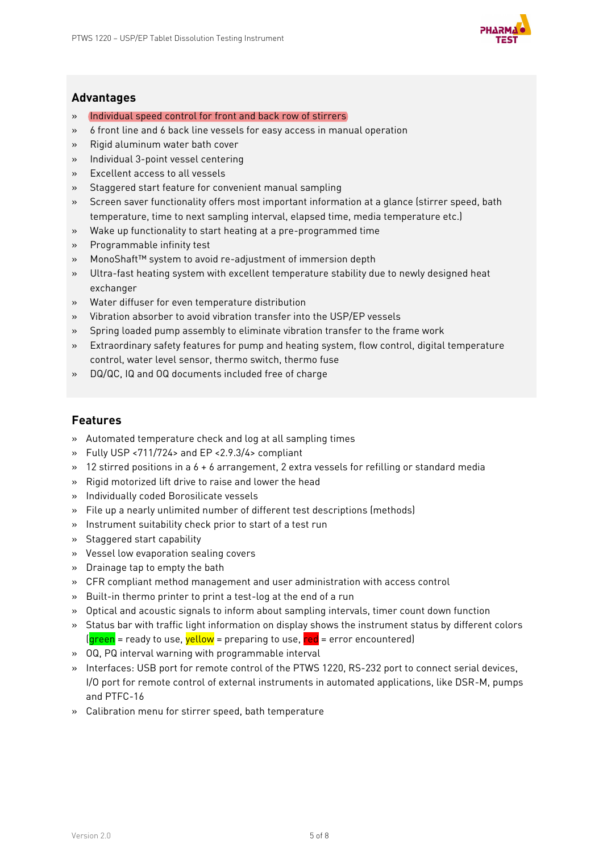

## **Advantages**

- » Individual speed control for front and back row of stirrers
- » 6 front line and 6 back line vessels for easy access in manual operation
- » Rigid aluminum water bath cover
- » Individual 3-point vessel centering
- » Excellent access to all vessels
- » Staggered start feature for convenient manual sampling
- » Screen saver functionality offers most important information at a glance (stirrer speed, bath temperature, time to next sampling interval, elapsed time, media temperature etc.)
- » Wake up functionality to start heating at a pre-programmed time
- » Programmable infinity test
- » MonoShaft™ system to avoid re-adjustment of immersion depth
- » Ultra-fast heating system with excellent temperature stability due to newly designed heat exchanger
- » Water diffuser for even temperature distribution
- » Vibration absorber to avoid vibration transfer into the USP/EP vessels
- » Spring loaded pump assembly to eliminate vibration transfer to the frame work
- » Extraordinary safety features for pump and heating system, flow control, digital temperature control, water level sensor, thermo switch, thermo fuse
- » DQ/QC, IQ and OQ documents included free of charge

## **Features**

- » Automated temperature check and log at all sampling times
- » Fully USP <711/724> and EP <2.9.3/4> compliant
- $\rightarrow$  12 stirred positions in a 6 + 6 arrangement, 2 extra vessels for refilling or standard media
- » Rigid motorized lift drive to raise and lower the head
- » Individually coded Borosilicate vessels
- » File up a nearly unlimited number of different test descriptions (methods)
- » Instrument suitability check prior to start of a test run
- » Staggered start capability
- » Vessel low evaporation sealing covers
- » Drainage tap to empty the bath
- » CFR compliant method management and user administration with access control
- » Built-in thermo printer to print a test-log at the end of a run
- » Optical and acoustic signals to inform about sampling intervals, timer count down function
- » Status bar with traffic light information on display shows the instrument status by different colors  $q^2$  = ready to use,  $\frac{1}{2}$  vellow = preparing to use,  $\frac{1}{2}$  = error encountered)
- » OQ, PQ interval warning with programmable interval
- » Interfaces: USB port for remote control of the PTWS 1220, RS-232 port to connect serial devices, I/O port for remote control of external instruments in automated applications, like DSR-M, pumps and PTFC-16
- » Calibration menu for stirrer speed, bath temperature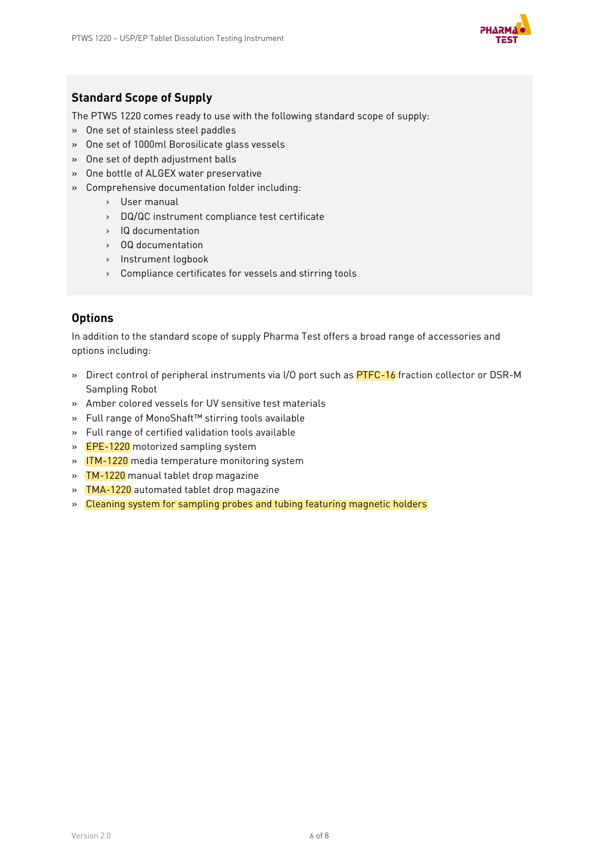

## **Standard Scope of Supply**

The PTWS 1220 comes ready to use with the following standard scope of supply:

- » One set of stainless steel paddles
- » One set of 1000ml Borosilicate glass vessels
- » One set of depth adjustment balls
- » One bottle of ALGEX water preservative
- » Comprehensive documentation folder including:
	- › User manual
	- › DQ/QC instrument compliance test certificate
	- › IQ documentation
	- › OQ documentation
	- › Instrument logbook
	- › Compliance certificates for vessels and stirring tools

## **Options**

In addition to the standard scope of supply Pharma Test offers a broad range of accessories and options including:

- » Direct control of peripheral instruments via I/O port such as **PTFC-16** fraction collector or DSR-M Sampling Robot
- » Amber colored vessels for UV sensitive test materials
- » Full range of MonoShaft™ stirring tools available
- » Full range of certified validation tools available
- » EPE-1220 motorized sampling system
- » ITM-1220 media temperature monitoring system
- » TM-1220 manual tablet drop magazine
- » TMA-1220 automated tablet drop magazine
- » Cleaning system for sampling probes and tubing featuring magnetic holders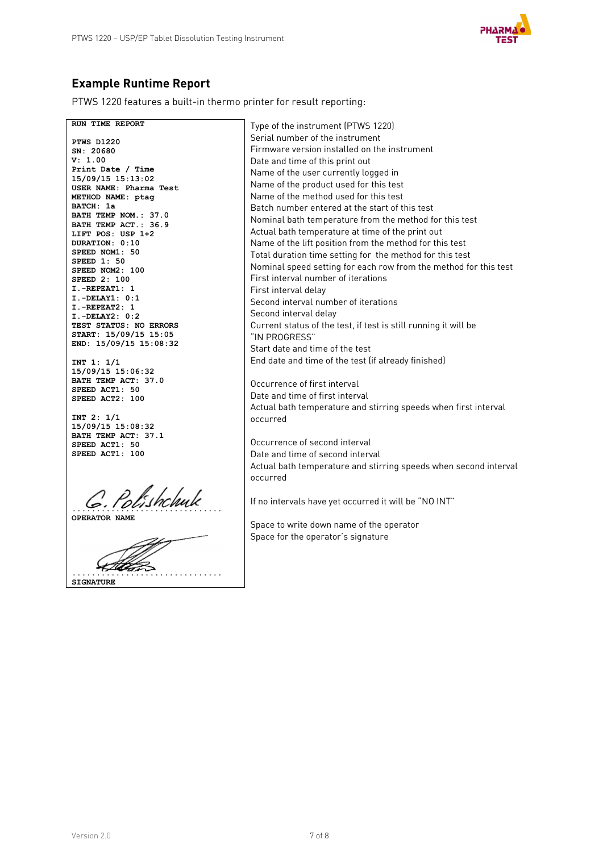

# **Example Runtime Report**

PTWS 1220 features a built-in thermo printer for result reporting:

**RUN TIME REPORT PTWS D1220 SN: 20680 V: 1.00 Print Date / Time 15/09/15 15:13:02 USER NAME: Pharma Test METHOD NAME: ptag BATCH: 1a BATH TEMP NOM.: 37.0 BATH TEMP ACT.: 36.9 LIFT POS: USP 1+2 DURATION: 0:10 SPEED NOM1: 50 SPEED 1: 50 SPEED NOM2: 100 SPEED 2: 100 I.-REPEAT1: 1 I.-DELAY1: 0:1 I.-REPEAT2: 1 I.-DELAY2: 0:2 TEST STATUS: NO ERRORS START: 15/09/15 15:05 END: 15/09/15 15:08:32 INT 1: 1/1 15/09/15 15:06:32 BATH TEMP ACT: 37.0 SPEED ACT1: 50 SPEED ACT2: 100 INT 2: 1/1 15/09/15 15:08:32 BATH TEMP ACT: 37.1 SPEED ACT1: 50 SPEED ACT1: 100 ............................... OPERATOR NAME ............................... SIGNATURE** Type of the instrument (PTWS 1220) Serial number of the instrument Firmware version installed on the instrument Date and time of this print out Name of the user currently logged in Name of the product used for this test Name of the method used for this test Batch number entered at the start of this test Nominal bath temperature from the method for this test Actual bath temperature at time of the print out Name of the lift position from the method for this test Total duration time setting for the method for this test Nominal speed setting for each row from the method for this test First interval number of iterations First interval delay Second interval number of iterations Second interval delay Current status of the test, if test is still running it will be "IN PROGRESS" Start date and time of the test End date and time of the test (if already finished) Occurrence of first interval Date and time of first interval Actual bath temperature and stirring speeds when first interval occurred Occurrence of second interval Date and time of second interval Actual bath temperature and stirring speeds when second interval occurred If no intervals have yet occurred it will be "NO INT" Space to write down name of the operator Space for the operator's signature